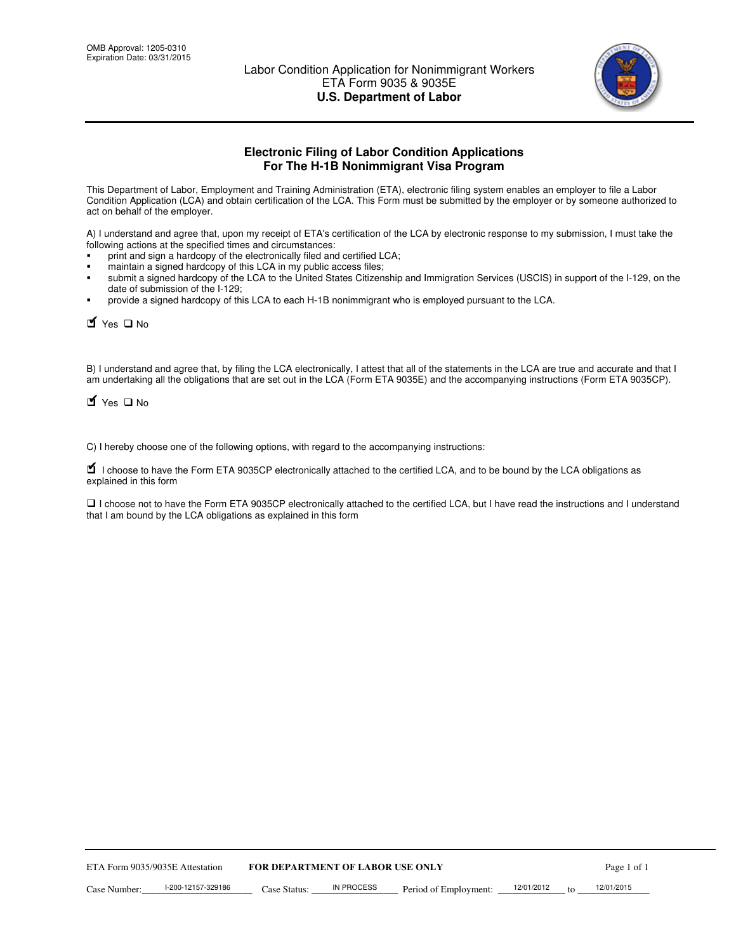

# **Electronic Filing of Labor Condition Applications For The H-1B Nonimmigrant Visa Program**

This Department of Labor, Employment and Training Administration (ETA), electronic filing system enables an employer to file a Labor Condition Application (LCA) and obtain certification of the LCA. This Form must be submitted by the employer or by someone authorized to act on behalf of the employer.

A) I understand and agree that, upon my receipt of ETA's certification of the LCA by electronic response to my submission, I must take the following actions at the specified times and circumstances:

- print and sign a hardcopy of the electronically filed and certified LCA;
- maintain a signed hardcopy of this LCA in my public access files;
- submit a signed hardcopy of the LCA to the United States Citizenship and Immigration Services (USCIS) in support of the I-129, on the date of submission of the I-129;
- provide a signed hardcopy of this LCA to each H-1B nonimmigrant who is employed pursuant to the LCA.

Yes  $\square$  No

B) I understand and agree that, by filing the LCA electronically, I attest that all of the statements in the LCA are true and accurate and that I am undertaking all the obligations that are set out in the LCA (Form ETA 9035E) and the accompanying instructions (Form ETA 9035CP).

Yes  $\square$  No

C) I hereby choose one of the following options, with regard to the accompanying instructions:

■ I choose to have the Form ETA 9035CP electronically attached to the certified LCA, and to be bound by the LCA obligations as explained in this form

 I choose not to have the Form ETA 9035CP electronically attached to the certified LCA, but I have read the instructions and I understand that I am bound by the LCA obligations as explained in this form

| <b>FOR DEPARTMENT OF LABOR USE ONLY</b><br>ETA Form 9035/9035E Attestation |                    |              |            | Page 1 of 1           |            |  |            |
|----------------------------------------------------------------------------|--------------------|--------------|------------|-----------------------|------------|--|------------|
| Case Number:                                                               | l-200-12157-329186 | Case Status: | IN PROCESS | Period of Employment: | 12/01/2012 |  | 12/01/2015 |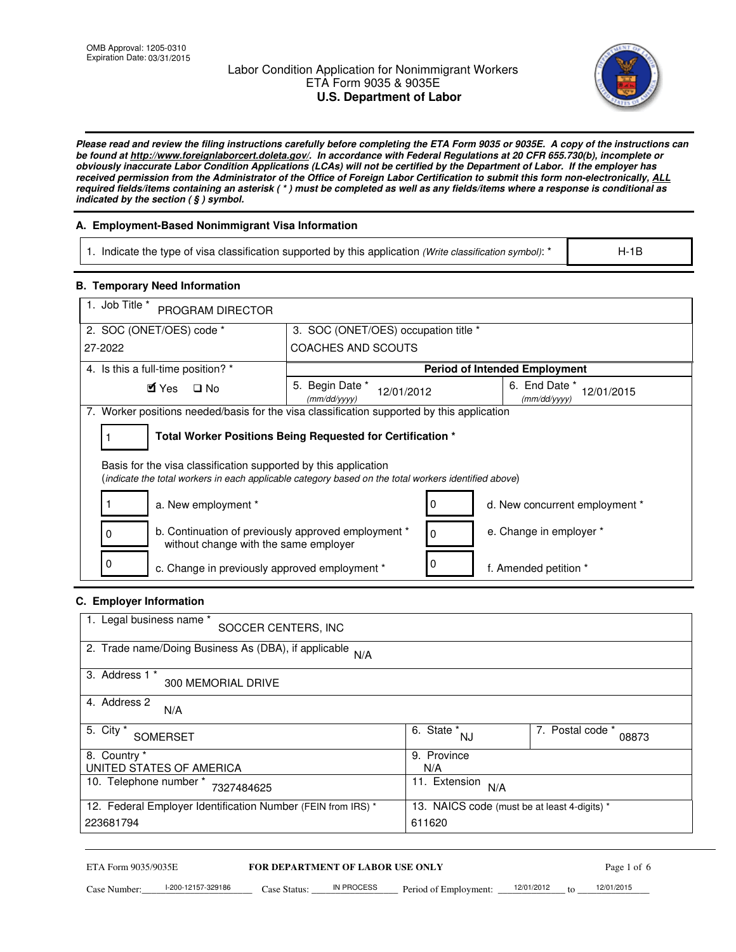## Labor Condition Application for Nonimmigrant Workers ETA Form 9035 & 9035E **U.S. Department of Labor**



*Please read and review the filing instructions carefully before completing the ETA Form 9035 or 9035E. A copy of the instructions can be found at http://www.foreignlaborcert.doleta.gov/. In accordance with Federal Regulations at 20 CFR 655.730(b), incomplete or obviously inaccurate Labor Condition Applications (LCAs) will not be certified by the Department of Labor. If the employer has received permission from the Administrator of the Office of Foreign Labor Certification to submit this form non-electronically, ALL required fields/items containing an asterisk ( \* ) must be completed as well as any fields/items where a response is conditional as indicated by the section ( § ) symbol.* 

## **A. Employment-Based Nonimmigrant Visa Information**

| 1. Indicate the type of visa classification supported by this application (Write classification symbol): * |  | $H-1B$ |
|------------------------------------------------------------------------------------------------------------|--|--------|
|                                                                                                            |  |        |

#### **B. Temporary Need Information**

| 1. Job Title *<br>PROGRAM DIRECTOR                                                                                                                                      |                                                            |                                      |                                             |  |  |  |  |
|-------------------------------------------------------------------------------------------------------------------------------------------------------------------------|------------------------------------------------------------|--------------------------------------|---------------------------------------------|--|--|--|--|
| 2. SOC (ONET/OES) code *                                                                                                                                                |                                                            | 3. SOC (ONET/OES) occupation title * |                                             |  |  |  |  |
| 27-2022                                                                                                                                                                 | COACHES AND SCOUTS                                         |                                      |                                             |  |  |  |  |
| 4. Is this a full-time position? *                                                                                                                                      |                                                            |                                      | <b>Period of Intended Employment</b>        |  |  |  |  |
| $\blacksquare$ Yes<br>$\square$ No                                                                                                                                      | 5. Begin Date *<br>12/01/2012<br>(mm/dd/yyyy)              |                                      | 6. End Date *<br>12/01/2015<br>(mm/dd/yyyy) |  |  |  |  |
| 7. Worker positions needed/basis for the visa classification supported by this application                                                                              |                                                            |                                      |                                             |  |  |  |  |
|                                                                                                                                                                         | Total Worker Positions Being Requested for Certification * |                                      |                                             |  |  |  |  |
| Basis for the visa classification supported by this application<br>(indicate the total workers in each applicable category based on the total workers identified above) |                                                            |                                      |                                             |  |  |  |  |
| a. New employment *                                                                                                                                                     |                                                            |                                      | d. New concurrent employment *              |  |  |  |  |
| b. Continuation of previously approved employment *<br>0<br>without change with the same employer                                                                       |                                                            | 0                                    | e. Change in employer *                     |  |  |  |  |
| 0<br>c. Change in previously approved employment *                                                                                                                      |                                                            |                                      | f. Amended petition *                       |  |  |  |  |

## **C. Employer Information**

| $\blacksquare$ Yes<br>$\square$ No                                                                                                                                      | 5. Begin Date *<br>12/01/2012<br>(mm/dd/yyyy)              | 6. End Date *<br>12/01/2015<br>(mm/dd/vvvv)                       |
|-------------------------------------------------------------------------------------------------------------------------------------------------------------------------|------------------------------------------------------------|-------------------------------------------------------------------|
| 7. Worker positions needed/basis for the visa classification supported by this application                                                                              |                                                            |                                                                   |
| 1                                                                                                                                                                       | Total Worker Positions Being Requested for Certification * |                                                                   |
| Basis for the visa classification supported by this application<br>(indicate the total workers in each applicable category based on the total workers identified above) |                                                            |                                                                   |
| a. New employment *                                                                                                                                                     |                                                            | 0<br>d. New concurrent employment *                               |
| b. Continuation of previously approved employment *<br>0<br>without change with the same employer                                                                       |                                                            | e. Change in employer *<br>0                                      |
| 0<br>c. Change in previously approved employment *                                                                                                                      |                                                            | 0<br>f. Amended petition *                                        |
| C. Employer Information                                                                                                                                                 |                                                            |                                                                   |
| 1. Legal business name *<br>SOCCER CENTERS, INC                                                                                                                         |                                                            |                                                                   |
| 2. Trade name/Doing Business As $(DBA)$ , if applicable $N/A$                                                                                                           |                                                            |                                                                   |
| 3. Address 1 *<br>300 MEMORIAL DRIVE                                                                                                                                    |                                                            |                                                                   |
| 4. Address 2<br>N/A                                                                                                                                                     |                                                            |                                                                   |
| 5. City *<br><b>SOMERSET</b>                                                                                                                                            |                                                            | 7. Postal code *<br>$\overline{6. \text{ State}}^*_{NJ}$<br>08873 |
| 8. Country *<br>UNITED STATES OF AMERICA                                                                                                                                |                                                            | 9. Province<br>N/A                                                |
|                                                                                                                                                                         |                                                            | 11. Extension<br>N/A                                              |
|                                                                                                                                                                         |                                                            |                                                                   |
| 10. Telephone number * 7327484625<br>12. Federal Employer Identification Number (FEIN from IRS) *                                                                       |                                                            | 13. NAICS code (must be at least 4-digits) *                      |

ETA Form 9035/9035E **FOR DEPARTMENT OF LABOR USE ONLY** Page 1 of 6 12/01/2015

Case Number:  $\frac{1-200-12157-329186}{200}$  Case Status:  $\frac{1}{200}$  Period of Employment:  $\frac{1201/2012}{200}$  to  $\frac{12/01/2015}{200}$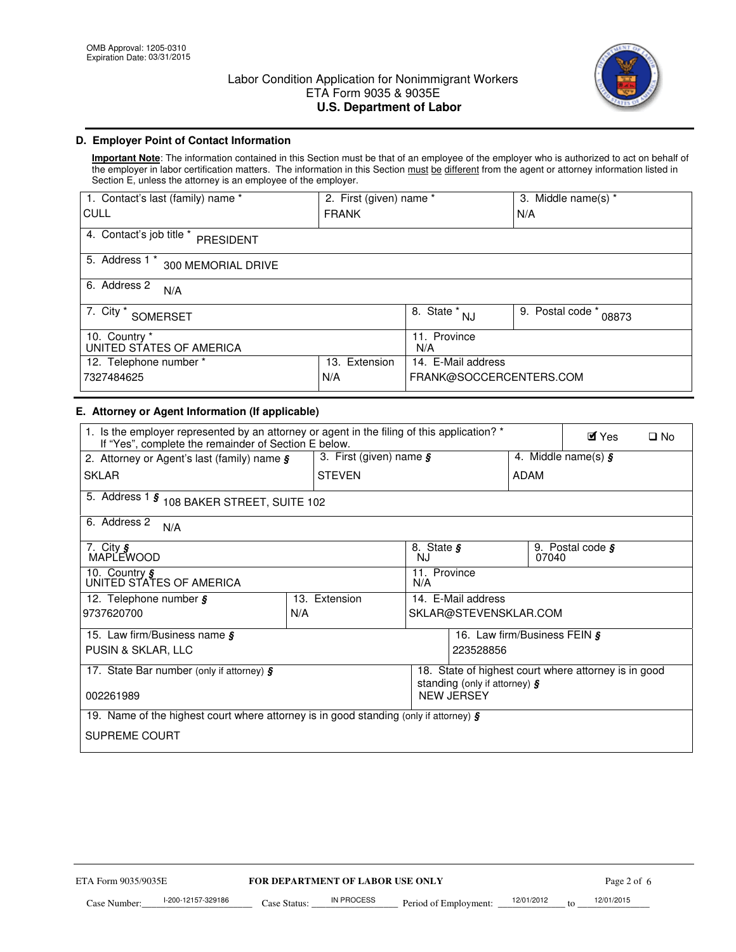

## **D. Employer Point of Contact Information**

**Important Note**: The information contained in this Section must be that of an employee of the employer who is authorized to act on behalf of the employer in labor certification matters. The information in this Section must be different from the agent or attorney information listed in Section E, unless the attorney is an employee of the employer.

| 1. Contact's last (family) name *            | 2. First (given) name * |                                    | 3. Middle name(s) *       |  |
|----------------------------------------------|-------------------------|------------------------------------|---------------------------|--|
| CULL                                         | <b>FRANK</b>            |                                    | N/A                       |  |
| 4. Contact's job title *<br><b>PRESIDENT</b> |                         |                                    |                           |  |
| 5. Address 1 *<br>300 MEMORIAL DRIVE         |                         |                                    |                           |  |
| 6. Address 2<br>N/A                          |                         |                                    |                           |  |
| 7. City *<br><b>SOMERSET</b>                 |                         | $\overline{8. \text{ State}}^*$ NJ | 9. Postal code *<br>08873 |  |
| 10. Country *<br>UNITED STATES OF AMERICA    |                         | 11. Province<br>N/A                |                           |  |
| 12. Telephone number *                       | Extension<br>13.        | 14. E-Mail address                 |                           |  |
| 7327484625                                   | N/A                     | FRANK@SOCCERCENTERS.COM            |                           |  |

#### **E. Attorney or Agent Information (If applicable)**

| 1. Is the employer represented by an attorney or agent in the filing of this application? *<br>If "Yes", complete the remainder of Section E below. |     |                                                  |                                                                    |                       |      |       | $\blacksquare$ Yes                   | $\square$ No |
|-----------------------------------------------------------------------------------------------------------------------------------------------------|-----|--------------------------------------------------|--------------------------------------------------------------------|-----------------------|------|-------|--------------------------------------|--------------|
| 2. Attorney or Agent's last (family) name $s$                                                                                                       |     | 3. First (given) name $\boldsymbol{\mathcal{S}}$ |                                                                    |                       |      |       | 4. Middle name(s) $\boldsymbol{\xi}$ |              |
| <b>SKLAR</b>                                                                                                                                        |     | <b>STEVEN</b>                                    |                                                                    |                       | ADAM |       |                                      |              |
| 5. Address 1 § 108 BAKER STREET, SUITE 102                                                                                                          |     |                                                  |                                                                    |                       |      |       |                                      |              |
| 6. Address 2<br>N/A                                                                                                                                 |     |                                                  |                                                                    |                       |      |       |                                      |              |
| 7. City §<br>MAPLEWOOD                                                                                                                              |     |                                                  | 8. State $\boldsymbol{\mathcal{S}}$<br><b>NJ</b>                   |                       |      | 07040 | 9. Postal code $\boldsymbol{\xi}$    |              |
| 10. Country §<br>UNITED STATES OF AMERICA                                                                                                           |     |                                                  | 11. Province<br>N/A                                                |                       |      |       |                                      |              |
| 12. Telephone number $\boldsymbol{\mathfrak{s}}$                                                                                                    |     | 13. Extension                                    |                                                                    | 14. E-Mail address    |      |       |                                      |              |
| 9737620700                                                                                                                                          | N/A |                                                  |                                                                    | SKLAR@STEVENSKLAR.COM |      |       |                                      |              |
| 15. Law firm/Business name $\boldsymbol{\xi}$                                                                                                       |     |                                                  | 16. Law firm/Business FEIN §                                       |                       |      |       |                                      |              |
| PUSIN & SKLAR, LLC                                                                                                                                  |     |                                                  | 223528856                                                          |                       |      |       |                                      |              |
| 17. State Bar number (only if attorney) $\oint$                                                                                                     |     |                                                  | 18. State of highest court where attorney is in good               |                       |      |       |                                      |              |
| 002261989                                                                                                                                           |     |                                                  | standing (only if attorney) $\boldsymbol{\S}$<br><b>NEW JERSEY</b> |                       |      |       |                                      |              |
|                                                                                                                                                     |     |                                                  |                                                                    |                       |      |       |                                      |              |
| 19. Name of the highest court where attorney is in good standing (only if attorney) $\frac{1}{5}$                                                   |     |                                                  |                                                                    |                       |      |       |                                      |              |
| <b>SUPREME COURT</b>                                                                                                                                |     |                                                  |                                                                    |                       |      |       |                                      |              |
|                                                                                                                                                     |     |                                                  |                                                                    |                       |      |       |                                      |              |
|                                                                                                                                                     |     |                                                  |                                                                    |                       |      |       |                                      |              |
|                                                                                                                                                     |     |                                                  |                                                                    |                       |      |       |                                      |              |
|                                                                                                                                                     |     |                                                  |                                                                    |                       |      |       |                                      |              |
|                                                                                                                                                     |     |                                                  |                                                                    |                       |      |       |                                      |              |
|                                                                                                                                                     |     |                                                  |                                                                    |                       |      |       |                                      |              |
|                                                                                                                                                     |     |                                                  |                                                                    |                       |      |       |                                      |              |
| ETA Form 9035/9035E                                                                                                                                 |     | <b>FOR DEPARTMENT OF LABOR USE ONLY</b>          |                                                                    |                       |      |       | Page 2 of 6                          |              |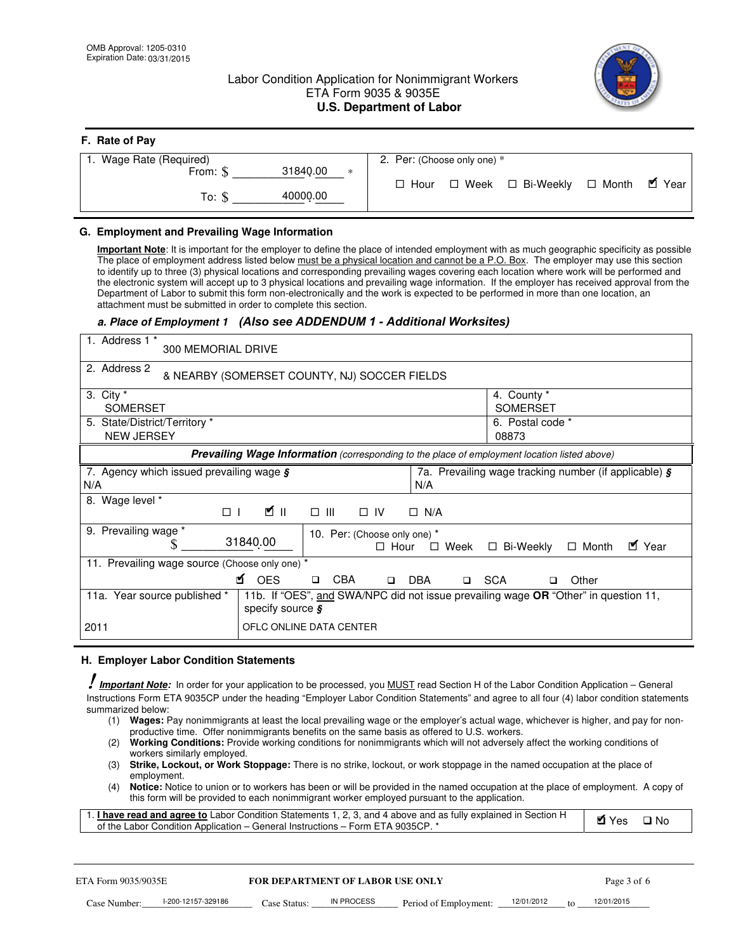## Labor Condition Application for Nonimmigrant Workers ETA Form 9035 & 9035E **U.S. Department of Labor**



| 2. Per: (Choose only one) *                      |
|--------------------------------------------------|
|                                                  |
| □ Week □ Bi-Weekly □ Month ■ Year<br>$\Box$ Hour |
|                                                  |

#### **G. Employment and Prevailing Wage Information**

**Important Note**: It is important for the employer to define the place of intended employment with as much geographic specificity as possible The place of employment address listed below must be a physical location and cannot be a P.O. Box. The employer may use this section to identify up to three (3) physical locations and corresponding prevailing wages covering each location where work will be performed and the electronic system will accept up to 3 physical locations and prevailing wage information. If the employer has received approval from the Department of Labor to submit this form non-electronically and the work is expected to be performed in more than one location, an attachment must be submitted in order to complete this section.

# a. Place of Employment 1 (Also see ADDENDUM 1 - Additional Worksites)

| 1. Address 1 *<br>300 MEMORIAL DRIVE                             |                                                                                                                                 |                                                             |
|------------------------------------------------------------------|---------------------------------------------------------------------------------------------------------------------------------|-------------------------------------------------------------|
| 2. Address 2                                                     | & NEARBY (SOMERSET COUNTY, NJ) SOCCER FIELDS                                                                                    |                                                             |
| 3. City $*$<br><b>SOMERSET</b>                                   |                                                                                                                                 | 4. County *<br><b>SOMERSET</b>                              |
| 5. State/District/Territory *<br><b>NEW JERSEY</b>               |                                                                                                                                 | 6. Postal code *<br>08873                                   |
|                                                                  | Prevailing Wage Information (corresponding to the place of employment location listed above)                                    |                                                             |
| 7. Agency which issued prevailing wage $\boldsymbol{\xi}$<br>N/A | N/A                                                                                                                             | 7a. Prevailing wage tracking number (if applicable) $\zeta$ |
| Wage level *<br>8.<br>$\Box$                                     | Ø∥<br>$\square$ $\square$<br>$\Box$ IV<br>$\Box$ N/A                                                                            |                                                             |
| Prevailing wage *<br>9.                                          | 10. Per: (Choose only one) *<br>31840.00<br>$\Box$ Week<br>$\Box$ Hour                                                          | ■ Year<br>$\Box$ Bi-Weekly<br>$\Box$ Month                  |
| 11. Prevailing wage source (Choose only one) *                   |                                                                                                                                 |                                                             |
|                                                                  | <b>M</b> OES<br><b>CBA</b><br><b>DBA</b><br>$\Box$<br>$\Box$<br>◻                                                               | <b>SCA</b><br>Other<br>□                                    |
| 11a. Year source published *                                     | 11b. If "OES", and SWA/NPC did not issue prevailing wage OR "Other" in question 11,<br>specify source $\boldsymbol{\mathsf{s}}$ |                                                             |
| 2011                                                             | OFLC ONLINE DATA CENTER                                                                                                         |                                                             |

## **H. Employer Labor Condition Statements**

! *Important Note:* In order for your application to be processed, you MUST read Section H of the Labor Condition Application – General Instructions Form ETA 9035CP under the heading "Employer Labor Condition Statements" and agree to all four (4) labor condition statements summarized below:

- (1) **Wages:** Pay nonimmigrants at least the local prevailing wage or the employer's actual wage, whichever is higher, and pay for nonproductive time. Offer nonimmigrants benefits on the same basis as offered to U.S. workers.
- (2) **Working Conditions:** Provide working conditions for nonimmigrants which will not adversely affect the working conditions of workers similarly employed.
- (3) **Strike, Lockout, or Work Stoppage:** There is no strike, lockout, or work stoppage in the named occupation at the place of employment.
- (4) **Notice:** Notice to union or to workers has been or will be provided in the named occupation at the place of employment. A copy of this form will be provided to each nonimmigrant worker employed pursuant to the application.

| 1. <b>I have read and agree to</b> Labor Condition Statements 1, 2, 3, and 4 above and as fully explained in Section H | MYes | $\Box$ No |
|------------------------------------------------------------------------------------------------------------------------|------|-----------|
| of the Labor Condition Application – General Instructions – Form ETA 9035CP. *                                         |      |           |

| ETA Form 9035/9035E |                    | <b>FOR DEPARTMENT OF LABOR USE ONLY</b> |            |                                            |  | Page 3 of 6 |            |  |
|---------------------|--------------------|-----------------------------------------|------------|--------------------------------------------|--|-------------|------------|--|
| Case Number:        | l-200-12157-329186 | Case Status:                            | IN PROCESS | Period of Employment: $\frac{12}{01/2012}$ |  |             | 12/01/2015 |  |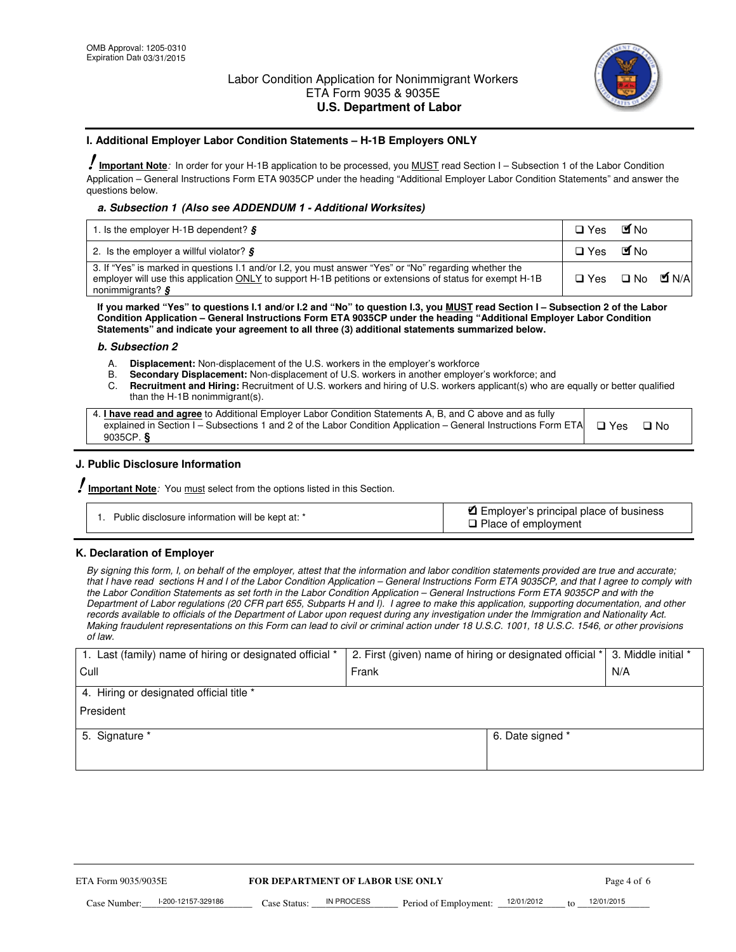

#### **I. Additional Employer Labor Condition Statements – H-1B Employers ONLY**

!**Important Note***:* In order for your H-1B application to be processed, you MUST read Section I – Subsection 1 of the Labor Condition Application – General Instructions Form ETA 9035CP under the heading "Additional Employer Labor Condition Statements" and answer the questions below.

## a. Subsection 1 (Also see ADDENDUM 1 - Additional Worksites)

| 1. Is the employer H-1B dependent? $\frac{1}{5}$                                                                                                                                                                                                         | $\square$ Yes                   | <b>M</b> No |  |
|----------------------------------------------------------------------------------------------------------------------------------------------------------------------------------------------------------------------------------------------------------|---------------------------------|-------------|--|
| 2. Is the employer a willful violator? $\frac{1}{2}$                                                                                                                                                                                                     | $\square$ Yes                   | <b>M</b> No |  |
| 3. If "Yes" is marked in questions I.1 and/or I.2, you must answer "Yes" or "No" regarding whether the<br>employer will use this application ONLY to support H-1B petitions or extensions of status for exempt H-1B<br>nonimmigrants? $\boldsymbol{\xi}$ | $\Box$ Yes $\Box$ No $\Box$ N/A |             |  |

**If you marked "Yes" to questions I.1 and/or I.2 and "No" to question I.3, you MUST read Section I – Subsection 2 of the Labor Condition Application – General Instructions Form ETA 9035CP under the heading "Additional Employer Labor Condition Statements" and indicate your agreement to all three (3) additional statements summarized below.** 

#### *b. Subsection 2*

- A. **Displacement:** Non-displacement of the U.S. workers in the employer's workforce
- B. **Secondary Displacement:** Non-displacement of U.S. workers in another employer's workforce; and
- C. **Recruitment and Hiring:** Recruitment of U.S. workers and hiring of U.S. workers applicant(s) who are equally or better qualified than the H-1B nonimmigrant(s).

| 4. I have read and agree to Additional Employer Labor Condition Statements A, B, and C above and as fully                     |      |  |
|-------------------------------------------------------------------------------------------------------------------------------|------|--|
| explained in Section I – Subsections 1 and 2 of the Labor Condition Application – General Instructions Form ETA $\square$ Yes | ⊡ No |  |
| 9035 $CP.$ §                                                                                                                  |      |  |

#### **J. Public Disclosure Information**

!**Important Note***:* You must select from the options listed in this Section.

| Public disclosure information will be kept at: * | Employer's principal place of business<br>□ Place of employment |
|--------------------------------------------------|-----------------------------------------------------------------|
|--------------------------------------------------|-----------------------------------------------------------------|

#### **K. Declaration of Employer**

*By signing this form, I, on behalf of the employer, attest that the information and labor condition statements provided are true and accurate; that I have read sections H and I of the Labor Condition Application – General Instructions Form ETA 9035CP, and that I agree to comply with the Labor Condition Statements as set forth in the Labor Condition Application – General Instructions Form ETA 9035CP and with the Department of Labor regulations (20 CFR part 655, Subparts H and I). I agree to make this application, supporting documentation, and other records available to officials of the Department of Labor upon request during any investigation under the Immigration and Nationality Act. Making fraudulent representations on this Form can lead to civil or criminal action under 18 U.S.C. 1001, 18 U.S.C. 1546, or other provisions of law.* 

| 1. Last (family) name of hiring or designated official * | 2. First (given) name of hiring or designated official *   3. Middle initial * |                  |     |
|----------------------------------------------------------|--------------------------------------------------------------------------------|------------------|-----|
| Cull                                                     | Frank                                                                          |                  | N/A |
| 4. Hiring or designated official title *                 |                                                                                |                  |     |
| President                                                |                                                                                |                  |     |
| 5. Signature *                                           |                                                                                | 6. Date signed * |     |
|                                                          |                                                                                |                  |     |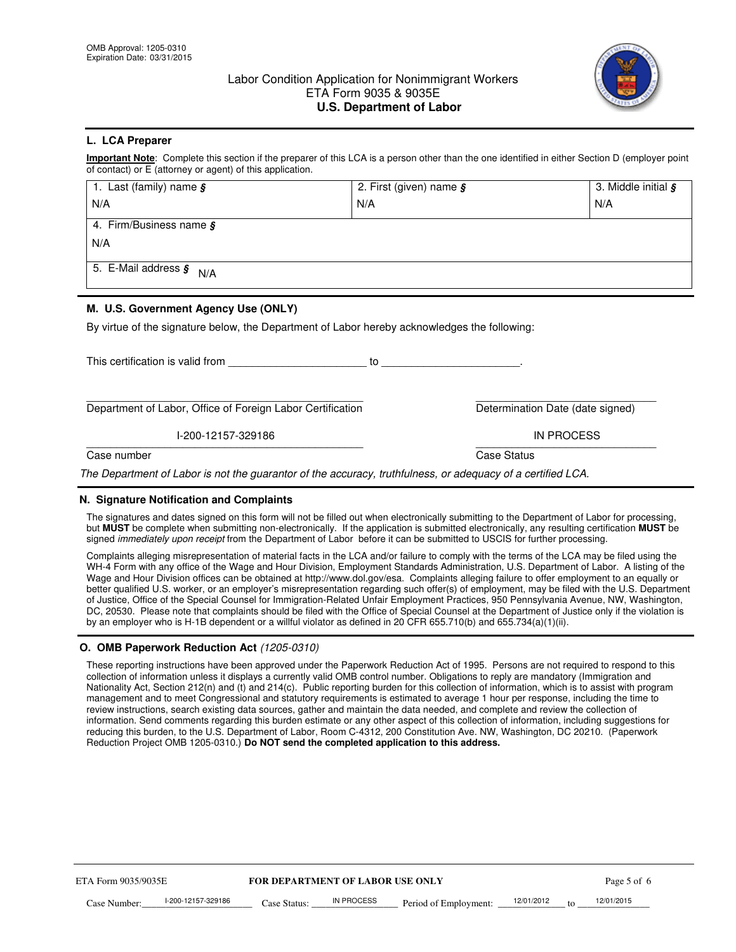

#### **L. LCA Preparer**

**Important Note**: Complete this section if the preparer of this LCA is a person other than the one identified in either Section D (employer point of contact) or E (attorney or agent) of this application.

| 1. Last (family) name $\boldsymbol{\xi}$ | 2. First (given) name $\boldsymbol{\mathcal{S}}$ | 3. Middle initial § |
|------------------------------------------|--------------------------------------------------|---------------------|
| N/A                                      | N/A                                              | N/A                 |
| 4. Firm/Business name §                  |                                                  |                     |
| N/A                                      |                                                  |                     |
| 5. E-Mail address $\boldsymbol{s}$ N/A   |                                                  |                     |
|                                          |                                                  |                     |
|                                          |                                                  |                     |

### **M. U.S. Government Agency Use (ONLY)**

By virtue of the signature below, the Department of Labor hereby acknowledges the following:

| Determination Date (date signed) |
|----------------------------------|
| IN PROCESS                       |
| Case Status                      |
|                                  |

#### **N. Signature Notification and Complaints**

The signatures and dates signed on this form will not be filled out when electronically submitting to the Department of Labor for processing, but **MUST** be complete when submitting non-electronically. If the application is submitted electronically, any resulting certification **MUST** be signed *immediately upon receipt* from the Department of Labor before it can be submitted to USCIS for further processing.

Complaints alleging misrepresentation of material facts in the LCA and/or failure to comply with the terms of the LCA may be filed using the WH-4 Form with any office of the Wage and Hour Division, Employment Standards Administration, U.S. Department of Labor. A listing of the Wage and Hour Division offices can be obtained at http://www.dol.gov/esa. Complaints alleging failure to offer employment to an equally or better qualified U.S. worker, or an employer's misrepresentation regarding such offer(s) of employment, may be filed with the U.S. Department of Justice, Office of the Special Counsel for Immigration-Related Unfair Employment Practices, 950 Pennsylvania Avenue, NW, Washington, DC, 20530. Please note that complaints should be filed with the Office of Special Counsel at the Department of Justice only if the violation is by an employer who is H-1B dependent or a willful violator as defined in 20 CFR 655.710(b) and 655.734(a)(1)(ii).

#### **O. OMB Paperwork Reduction Act** *(1205-0310)*

These reporting instructions have been approved under the Paperwork Reduction Act of 1995. Persons are not required to respond to this collection of information unless it displays a currently valid OMB control number. Obligations to reply are mandatory (Immigration and Nationality Act, Section 212(n) and (t) and 214(c). Public reporting burden for this collection of information, which is to assist with program management and to meet Congressional and statutory requirements is estimated to average 1 hour per response, including the time to review instructions, search existing data sources, gather and maintain the data needed, and complete and review the collection of information. Send comments regarding this burden estimate or any other aspect of this collection of information, including suggestions for reducing this burden, to the U.S. Department of Labor, Room C-4312, 200 Constitution Ave. NW, Washington, DC 20210. (Paperwork Reduction Project OMB 1205-0310.) **Do NOT send the completed application to this address.**